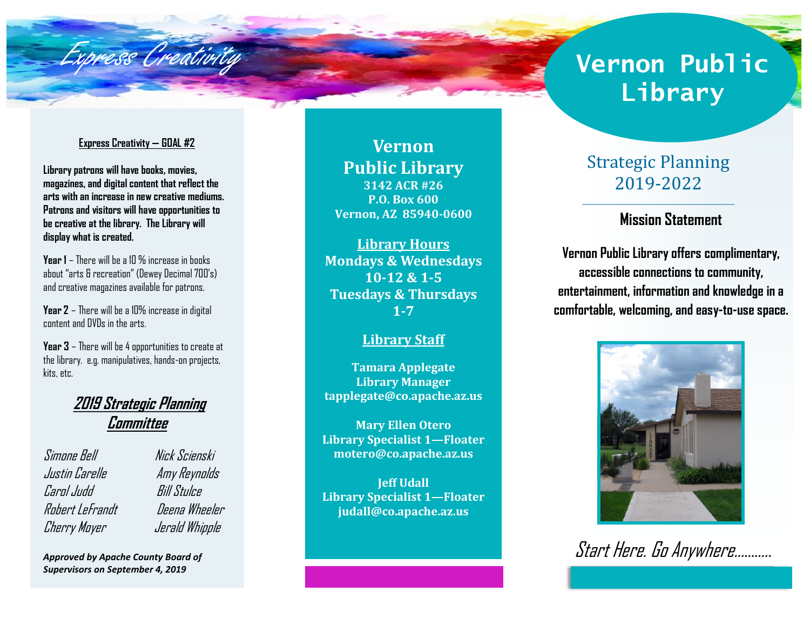

# **Library**

#### **Express Creativity — GOAL #2**

**Library patrons will have books, movies, magazines, and digital content that reflect the arts with an increase in new creative mediums. Patrons and visitors will have opportunities to be creative at the library. The Library will display what is created.** 

**Year 1** – There will be a 10 % increase in books about "arts & recreation" (Dewey Decimal 700's) and creative magazines available for patrons.

**Year 2** – There will be a 10% increase in digital content and DVDs in the arts.

**Year 3** – There will be 4 opportunities to create at the library. e.g. manipulatives, hands-on projects, kits, etc.

# **2019 Strategic Planning Committee**

Simone Bell Nick Scienski Justin Carelle Amy Reynolds Carol Judd Bill Stulce Robert LeFrandt Deena Wheeler Cherry Moyer Jerald Whipple

*Approved by Apache County Board of Supervisors on September 4, 2019*

**Vernon Public Library 3142 ACR #26 P.O. Box 600 Vernon, AZ 85940-0600**

**Library Hours Mondays & Wednesdays 10-12 & 1-5 Tuesdays & Thursdays 1-7**

#### **Library Staff**

**Tamara Applegate Library Manager tapplegate@co.apache.az.us**

**Mary Ellen Otero Library Specialist 1—Floater motero@co.apache.az.us**

**Jeff Udall Library Specialist 1—Floater judall@co.apache.az.us**

# Strategic Planning 2019-2022

# **Mission Statement**

**Vernon Public Library offers complimentary, accessible connections to community, entertainment, information and knowledge in a comfortable, welcoming, and easy-to-use space.** 



Start Here. Go Anywhere………..